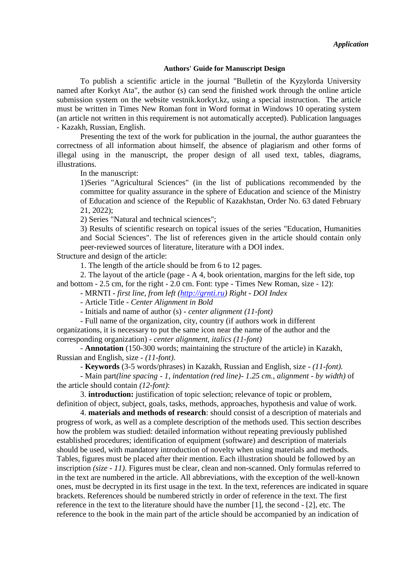#### **Authors' Guide for Manuscript Design**

To publish a scientific article in the journal "Bulletin of the Kyzylorda University named after Korkyt Ata", the author (s) can send the finished work through the online article submission system on the website vestnik.korkyt.kz, using a special instruction. The article must be written in Times New Roman font in Word format in Windows 10 operating system (an article not written in this requirement is not automatically accepted). Publication languages - Kazakh, Russian, English.

Presenting the text of the work for publication in the journal, the author guarantees the correctness of all information about himself, the absence of plagiarism and other forms of illegal using in the manuscript, the proper design of all used text, tables, diagrams, illustrations.

In the manuscript:

1)Series "Agricultural Sciences" (in the list of publications recommended by the committee for quality assurance in the sphere of Education and science of the Ministry of Education and science of the Republic of Kazakhstan, Order No. 63 dated February 21, 2022);

2) Series "Natural and technical sciences";

3) Results of scientific research on topical issues of the series "Education, Humanities and Social Sciences". The list of references given in the article should contain only peer-reviewed sources of literature, literature with a DOI index.

Structure and design of the article:

1. The length of the article should be from 6 to 12 pages.

2. The layout of the article (page - A 4, book orientation, margins for the left side, top and bottom - 2.5 cm, for the right - 2.0 cm. Font: type - Times New Roman, size - 12):

- MRNTI - *first line, from left [\(http://grnti.ru\)](http://grnti.ru/) Right - DOI Index*

- Article Title - *Center Alignment in Bold*

- Initials and name of author (s) *- center alignment (11-font)*

- Full name of the organization, city, country (if authors work in different organizations, it is necessary to put the same icon near the name of the author and the corresponding organization) - *center alignment, italics (11-font)*

- **Annotation** (150-300 words; maintaining the structure of the article) in Kazakh, Russian and English, size - *(11-font)*.

- **Keywords** (3-5 words/phrases) in Kazakh, Russian and English, size - *(11-font)*.

- Main part*(line spacing - 1, indentation (red line)- 1.25 cm., alignment - by width)* of the article should contain *(12-font)*:

3. **introduction:** justification of topic selection; relevance of topic or problem, definition of object, subject, goals, tasks, methods, approaches, hypothesis and value of work.

4. **materials and methods of research**: should consist of a description of materials and progress of work, as well as a complete description of the methods used. This section describes how the problem was studied: detailed information without repeating previously published established procedures; identification of equipment (software) and description of materials should be used, with mandatory introduction of novelty when using materials and methods. Tables, figures must be placed after their mention. Each illustration should be followed by an inscription *(size - 11)*. Figures must be clear, clean and non-scanned. Only formulas referred to in the text are numbered in the article. All abbreviations, with the exception of the well-known ones, must be decrypted in its first usage in the text. In the text, references are indicated in square brackets. References should be numbered strictly in order of reference in the text. The first reference in the text to the literature should have the number [1], the second - [2], etc. The reference to the book in the main part of the article should be accompanied by an indication of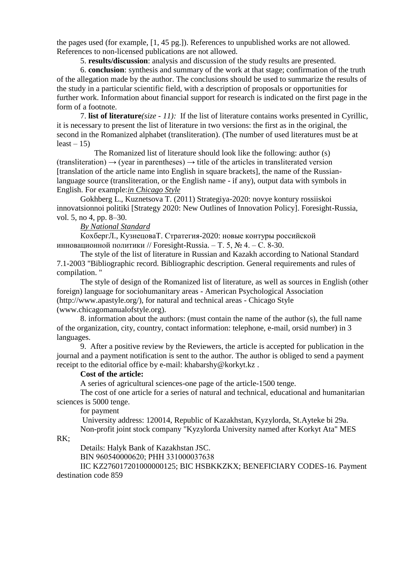the pages used (for example, [1, 45 pg.]). References to unpublished works are not allowed. References to non-licensed publications are not allowed.

5. **results/discussion**: analysis and discussion of the study results are presented.

6. **conclusion**: synthesis and summary of the work at that stage; confirmation of the truth of the allegation made by the author. The conclusions should be used to summarize the results of the study in a particular scientific field, with a description of proposals or opportunities for further work. Information about financial support for research is indicated on the first page in the form of a footnote.

7. **list of literature***(size - 11):* If the list of literature contains works presented in Cyrillic, it is necessary to present the list of literature in two versions: the first as in the original, the second in the Romanized alphabet (transliteration). (The number of used literatures must be at  $least - 15$ 

The Romanized list of literature should look like the following: author (s)  $(translation) \rightarrow (year in parentheses) \rightarrow title of the articles in translated version$ [translation of the article name into English in square brackets], the name of the Russianlanguage source (transliteration, or the English name - if any), output data with symbols in English. For example:*in Chicago Style*

Gokhberg L., Kuznetsova T. (2011) Strategiya-2020: novye kontury rossiiskoi innovatsionnoi politiki [Strategy 2020: New Outlines of Innovation Policy]. Foresight-Russia, vol. 5, no 4, pp. 8–30.

*By National Standard*

КохбергЛ., КузнецоваТ. Стратегия-2020: новые контуры российской инновационной политики // Foresight-Russia. – Т. 5, № 4. – С. 8-30.

The style of the list of literature in Russian and Kazakh according to National Standard 7.1-2003 "Bibliographic record. Bibliographic description. General requirements and rules of compilation. "

The style of design of the Romanized list of literature, as well as sources in English (other foreign) language for sociohumanitary areas - American Psychological Association (http://www.apastyle.org/), for natural and technical areas - Chicago Style (www.chicagomanualofstyle.org).

8. information about the authors: (must contain the name of the author (s), the full name of the organization, city, country, contact information: telephone, e-mail, orsid number) in 3 languages.

9. After a positive review by the Reviewers, the article is accepted for publication in the journal and a payment notification is sent to the author. The author is obliged to send a payment receipt to the editorial office by e-mail: khabarshy@korkyt.kz .

## **Cost of the article:**

A series of agricultural sciences-one page of the article-1500 tenge.

The cost of one article for a series of natural and technical, educational and humanitarian sciences is 5000 tenge.

for payment

University address: 120014, Republic of Kazakhstan, Kyzylorda, St.Ayteke bi 29a. Non-profit joint stock company "Kyzylorda University named after Korkyt Ata" MES

RK;

Details: Halyk Bank of Kazakhstan JSC.

BIN 960540000620; РНН 331000037638

IIC KZ276017201000000125; BIC HSBKKZKX; BENEFICIARY CODES-16. Payment destination code 859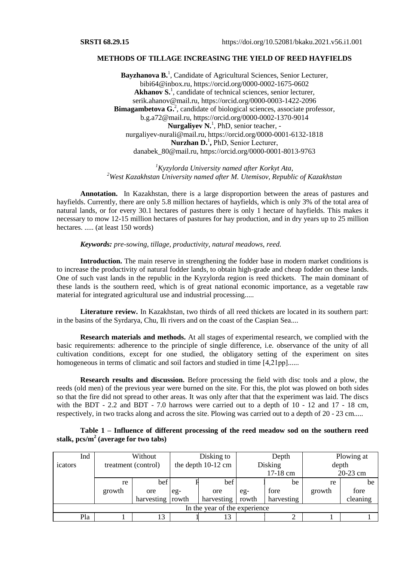#### **METHODS OF TILLAGE INCREASING THE YIELD OF REED HAYFIELDS**

Bayzhanova B.<sup>1</sup>, Candidate of Agricultural Sciences, Senior Lecturer, [bibi64@inbox.ru,](mailto:bibi64@inbox.ru) [https://orcid.org/0000-0002-1675-0602](https://orcid.org/0000-0002-1675-0602?lang=en) Akhanov S.<sup>1</sup>, candidate of technical sciences, senior lecturer, [serik.ahanov@mail.ru,](mailto:serik.ahanov@mail.ru) https://orcid.org/0000-0003-1422-2096 **Bimagambetova G.**<sup>2</sup>, candidate of biological sciences, associate professor, [b.g.a72@mail.ru,](mailto:b.g.a72@mail.ru)<https://orcid.org/0000-0002-1370-9014> Nurgaliyev N.<sup>1</sup>, PhD, senior teacher, [nurgaliyev-nurali@mail.ru,](mailto:nurgaliyev-nurali@mail.ru)<https://orcid.org/0000-0001-6132-1818> **Nurzhan D.** 1 **,** РhD, Senior Lecturer, [danabek\\_80@mail.ru,](mailto:danabek_80@mail.ru)<https://orcid.org/0000-0001-8013-9763>

*<sup>1</sup>Kyzylorda University named after Korkyt Ata, <sup>2</sup>West Kazakhstan University named after M. Utemisov, Republic of Kazakhstan*

**Annotation.** In Kazakhstan, there is a large disproportion between the areas of pastures and hayfields. Currently, there are only 5.8 million hectares of hayfields, which is only 3% of the total area of natural lands, or for every 30.1 hectares of pastures there is only 1 hectare of hayfields. This makes it necessary to mow 12-15 million hectares of pastures for hay production, and in dry years up to 25 million hectares. ..... (at least 150 words)

#### *Keywords: pre-sowing, tillage, productivity, natural meadows, reed.*

**Introduction.** The main reserve in strengthening the fodder base in modern market conditions is to increase the productivity of natural fodder lands, to obtain high-grade and cheap fodder on these lands. One of such vast lands in the republic in the Kyzylorda region is reed thickets. The main dominant of these lands is the southern reed, which is of great national economic importance, as a vegetable raw material for integrated agricultural use and industrial processing.....

**Literature review.** In Kazakhstan, two thirds of all reed thickets are located in its southern part: in the basins of the Syrdarya, Chu, Ili rivers and on the coast of the Caspian Sea....

**Research materials and methods.** At all stages of experimental research, we complied with the basic requirements: adherence to the principle of single difference, i.e. observance of the unity of all cultivation conditions, except for one studied, the obligatory setting of the experiment on sites homogeneous in terms of climatic and soil factors and studied in time [4,21pp]......

**Research results and discussion.** Before processing the field with disc tools and a plow, the reeds (old men) of the previous year were burned on the site. For this, the plot was plowed on both sides so that the fire did not spread to other areas. It was only after that that the experiment was laid. The discs with the BDT - 2.2 and BDT - 7.0 harrows were carried out to a depth of 10 - 12 and 17 - 18 cm, respectively, in two tracks along and across the site. Plowing was carried out to a depth of 20 - 23 cm.....

## **Table 1 – Influence of different processing of the reed meadow sod on the southern reed stalk, pcs/m<sup>2</sup> (average for two tabs)**

| Ind                           |        | Without             |       | Disking to           |       | Depth          | Plowing at |          |  |  |  |  |
|-------------------------------|--------|---------------------|-------|----------------------|-------|----------------|------------|----------|--|--|--|--|
| icators                       |        | treatment (control) |       | the depth $10-12$ cm |       | <b>Disking</b> | depth      |          |  |  |  |  |
|                               |        |                     |       |                      |       | 17-18 cm       | 20-23 cm   |          |  |  |  |  |
|                               | re     | bef                 |       | bef                  |       | be             | re         | be       |  |  |  |  |
|                               | growth | ore                 | $eg-$ | ore                  | $eg-$ | fore           | growth     | fore     |  |  |  |  |
|                               |        | harvesting          | rowth | harvesting           | rowth | harvesting     |            | cleaning |  |  |  |  |
| In the year of the experience |        |                     |       |                      |       |                |            |          |  |  |  |  |
| Pla                           |        | 13                  |       | 13                   |       |                |            |          |  |  |  |  |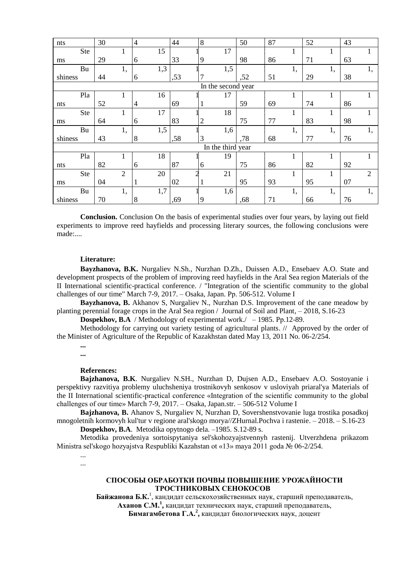| nts                | 30 |                | $\overline{4}$ |     | 44  | 8              |  |     | 50  |  | 87 |    | 52 |              | 43 |                |
|--------------------|----|----------------|----------------|-----|-----|----------------|--|-----|-----|--|----|----|----|--------------|----|----------------|
| <b>Ste</b>         |    | 1              |                | 15  |     |                |  | 17  |     |  |    | T  |    | 1            |    |                |
| ms                 | 29 |                | 6              |     | 33  | 9              |  |     | 98  |  | 86 |    | 71 |              | 63 |                |
| Bu                 |    | 1,             |                | 1,3 |     |                |  | 1,5 |     |  |    | 1, |    | 1,           |    | 1,             |
| shiness            | 44 |                | 6              |     | ,53 | 7              |  |     | ,52 |  | 51 |    | 29 |              | 38 |                |
| In the second year |    |                |                |     |     |                |  |     |     |  |    |    |    |              |    |                |
| Pla                |    | 1              |                | 16  |     |                |  | 17  |     |  |    |    |    |              |    |                |
| nts                | 52 |                | 4              |     | 69  | 1              |  |     | 59  |  | 69 |    | 74 |              | 86 |                |
| <b>Ste</b>         |    | 1              |                | 17  |     |                |  | 18  |     |  |    | T  |    | 1            |    |                |
| ms                 | 64 |                | 6              |     | 83  | $\overline{2}$ |  |     | 75  |  | 77 |    | 83 |              | 98 |                |
| Bu                 |    | 1,             |                | 1,5 |     |                |  | 1,6 |     |  |    | 1, |    | 1,           |    | 1,             |
| shiness            | 43 |                | 8              |     | ,58 | 3              |  |     | ,78 |  | 68 |    | 77 |              | 76 |                |
| In the third year  |    |                |                |     |     |                |  |     |     |  |    |    |    |              |    |                |
| Pla                |    | 1              |                | 18  |     |                |  | 19  |     |  |    | T  |    |              |    |                |
| nts                | 82 |                | 6              |     | 87  | 6              |  |     | 75  |  | 86 |    | 82 |              | 92 |                |
| <b>Ste</b>         |    | $\overline{2}$ |                | 20  |     |                |  | 21  |     |  |    | 1  |    | $\mathbf{1}$ |    | $\overline{2}$ |
| ms                 | 04 |                |                |     | 02  | 1              |  |     | 95  |  | 93 |    | 95 |              | 07 |                |
| Bu                 |    | 1,             |                | 1,7 |     |                |  | 1,6 |     |  |    | 1, |    | 1,           |    | 1,             |
| shiness            | 70 |                | 8              |     | ,69 | 9              |  |     | ,68 |  | 71 |    | 66 |              | 76 |                |

**Conclusion.** Conclusion On the basis of experimental studies over four years, by laying out field experiments to improve reed hayfields and processing literary sources, the following conclusions were made:....

#### **Literature:**

**Bayzhanova, B.K.** Nurgaliev N.Sh., Nurzhan D.Zh., Duissen A.D., Ensebaev A.O. State and development prospects of the problem of improving reed hayfields in the Aral Sea region Materials of the II International scientific-practical conference. / "Integration of the scientific community to the global challenges of our time" March 7-9, 2017. – Osaka, Japan. Pр. 506-512. Volume I

**Bayzhanova, B.** Akhanov S, Nurgaliev N., Nurzhan D.S. Improvement of the cane meadow by planting perennial forage crops in the Aral Sea region / Journal of Soil and Plant, – 2018, S.16-23

**Dospekhov, B.A** / Methodology of experimental work./ – 1985. Pр.12-89.

Methodology for carrying out variety testing of agricultural plants. // Approved by the order of the Minister of Agriculture of the Republic of Kazakhstan dated May 13, 2011 No. 06-2/254.

**... ...**

# **References:**

**Bajzhanova, B.K**. Nurgaliev N.SH., Nurzhan D, Dujsen A.D., Ensebaev A.O. Sostoyanie i perspektivy razvitiya problemy uluchsheniya trostnikovyh senkosov v usloviyah priaral'ya Materials of the II International scientific-practical conference «Integration of the scientific community to the global challenges of our time» March 7-9, 2017. – Osaka, Japan.str. – 506-512 Volume I

**Bajzhanova, B.** Ahanov S, Nurgaliev N, Nurzhan D, Sovershenstvovanie luga trostika posadkoj mnogoletnih kormovyh kul'tur v regione aral'skogo morya//ZHurnal.Pochva i rastenie. – 2018. – S.16-23 **Dospekhov, B.A**. Metodika opytnogo dela. –1985. S.12-89 s.

Metodika provedeniya sortoispytaniya sel'skohozyajstvennyh rastenij. Utverzhdena prikazom Ministra sel'skogo hozyajstva Respubliki Kazahstan ot «13» maya 2011 goda № 06-2/254.

... ...

## **СПОСОБЫ ОБРАБОТКИ ПОЧВЫ ПОВЫШЕНИЕ УРОЖАЙНОСТИ ТРОСТНИКОВЫХ СЕНОКОСОВ**

**Байжанова Б.К.**<sup>1</sup> , кандидат сельскохозяйственных наук, старший преподаватель, **Аханов С.М.<sup>1</sup> ,** кандидат технических наук, старший преподаватель,

**Бимагамбетова Г.А.<sup>2</sup> ,** кандидат биологических наук, доцент